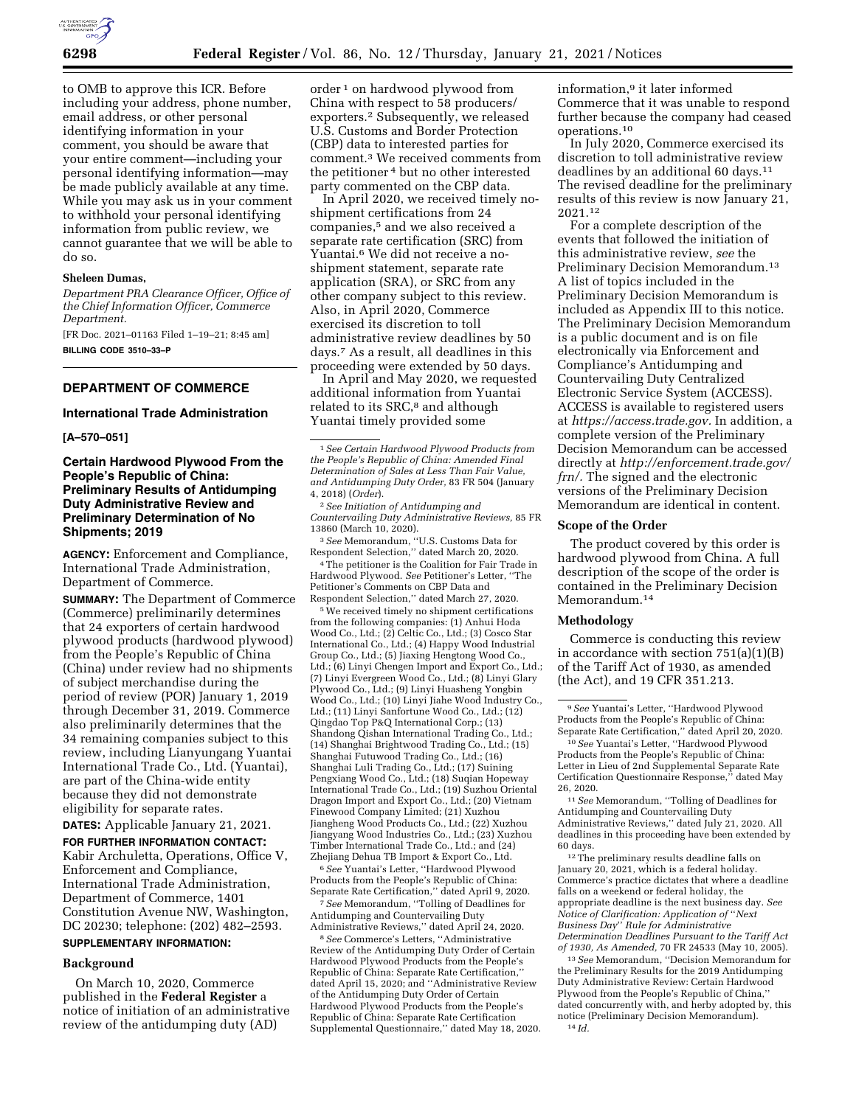

to OMB to approve this ICR. Before including your address, phone number, email address, or other personal identifying information in your comment, you should be aware that your entire comment—including your personal identifying information—may be made publicly available at any time. While you may ask us in your comment to withhold your personal identifying information from public review, we cannot guarantee that we will be able to do so.

### **Sheleen Dumas,**

*Department PRA Clearance Officer, Office of the Chief Information Officer, Commerce Department.* 

[FR Doc. 2021–01163 Filed 1–19–21; 8:45 am] **BILLING CODE 3510–33–P** 

### **DEPARTMENT OF COMMERCE**

### **International Trade Administration**

**[A–570–051]** 

## **Certain Hardwood Plywood From the People's Republic of China: Preliminary Results of Antidumping Duty Administrative Review and Preliminary Determination of No Shipments; 2019**

**AGENCY:** Enforcement and Compliance, International Trade Administration, Department of Commerce.

**SUMMARY:** The Department of Commerce (Commerce) preliminarily determines that 24 exporters of certain hardwood plywood products (hardwood plywood) from the People's Republic of China (China) under review had no shipments of subject merchandise during the period of review (POR) January 1, 2019 through December 31, 2019. Commerce also preliminarily determines that the 34 remaining companies subject to this review, including Lianyungang Yuantai International Trade Co., Ltd. (Yuantai), are part of the China-wide entity because they did not demonstrate eligibility for separate rates.

**DATES:** Applicable January 21, 2021. **FOR FURTHER INFORMATION CONTACT:**  Kabir Archuletta, Operations, Office V, Enforcement and Compliance, International Trade Administration, Department of Commerce, 1401 Constitution Avenue NW, Washington, DC 20230; telephone: (202) 482–2593.

# **SUPPLEMENTARY INFORMATION:**

#### **Background**

On March 10, 2020, Commerce published in the **Federal Register** a notice of initiation of an administrative review of the antidumping duty (AD)

order 1 on hardwood plywood from China with respect to 58 producers/ exporters.2 Subsequently, we released U.S. Customs and Border Protection (CBP) data to interested parties for comment.3 We received comments from the petitioner 4 but no other interested party commented on the CBP data.

In April 2020, we received timely noshipment certifications from 24 companies,5 and we also received a separate rate certification (SRC) from Yuantai.6 We did not receive a noshipment statement, separate rate application (SRA), or SRC from any other company subject to this review. Also, in April 2020, Commerce exercised its discretion to toll administrative review deadlines by 50 days.7 As a result, all deadlines in this proceeding were extended by 50 days.

In April and May 2020, we requested additional information from Yuantai related to its SRC,<sup>8</sup> and although Yuantai timely provided some

2*See Initiation of Antidumping and Countervailing Duty Administrative Reviews,* 85 FR 13860 (March 10, 2020).

3*See* Memorandum, ''U.S. Customs Data for Respondent Selection,'' dated March 20, 2020.

4The petitioner is the Coalition for Fair Trade in Hardwood Plywood. *See* Petitioner's Letter, ''The Petitioner's Comments on CBP Data and Respondent Selection,'' dated March 27, 2020.

5We received timely no shipment certifications from the following companies: (1) Anhui Hoda Wood Co., Ltd.; (2) Celtic Co., Ltd.; (3) Cosco Star International Co., Ltd.; (4) Happy Wood Industrial Group Co., Ltd.; (5) Jiaxing Hengtong Wood Co., Ltd.; (6) Linyi Chengen Import and Export Co., Ltd.; (7) Linyi Evergreen Wood Co., Ltd.; (8) Linyi Glary Plywood Co., Ltd.; (9) Linyi Huasheng Yongbin Wood Co., Ltd.; (10) Linyi Jiahe Wood Industry Co., Ltd.; (11) Linyi Sanfortune Wood Co., Ltd.; (12) Qingdao Top P&Q International Corp.; (13) Shandong Qishan International Trading Co., Ltd.; (14) Shanghai Brightwood Trading Co., Ltd.; (15) Shanghai Futuwood Trading Co., Ltd.; (16) Shanghai Luli Trading Co., Ltd.; (17) Suining Pengxiang Wood Co., Ltd.; (18) Suqian Hopeway International Trade Co., Ltd.; (19) Suzhou Oriental Dragon Import and Export Co., Ltd.; (20) Vietnam Finewood Company Limited; (21) Xuzhou Jiangheng Wood Products Co., Ltd.; (22) Xuzhou Jiangyang Wood Industries Co., Ltd.; (23) Xuzhou Timber International Trade Co., Ltd.; and (24) Zhejiang Dehua TB Import & Export Co., Ltd.

6*See* Yuantai's Letter, ''Hardwood Plywood Products from the People's Republic of China: Separate Rate Certification,'' dated April 9, 2020. 7*See* Memorandum, ''Tolling of Deadlines for

Antidumping and Countervailing Duty Administrative Reviews,'' dated April 24, 2020.

8*See* Commerce's Letters, ''Administrative Review of the Antidumping Duty Order of Certain Hardwood Plywood Products from the People's Republic of China: Separate Rate Certification,'' dated April 15, 2020; and ''Administrative Review of the Antidumping Duty Order of Certain Hardwood Plywood Products from the People's Republic of China: Separate Rate Certification Supplemental Questionnaire,'' dated May 18, 2020. information,9 it later informed Commerce that it was unable to respond further because the company had ceased operations.10

In July 2020, Commerce exercised its discretion to toll administrative review deadlines by an additional 60 days.11 The revised deadline for the preliminary results of this review is now January 21, 2021.12

For a complete description of the events that followed the initiation of this administrative review, *see* the Preliminary Decision Memorandum.13 A list of topics included in the Preliminary Decision Memorandum is included as Appendix III to this notice. The Preliminary Decision Memorandum is a public document and is on file electronically via Enforcement and Compliance's Antidumping and Countervailing Duty Centralized Electronic Service System (ACCESS). ACCESS is available to registered users at *[https://access.trade.gov.](https://access.trade.gov)* In addition, a complete version of the Preliminary Decision Memorandum can be accessed directly at *[http://enforcement.trade.gov/](http://enforcement.trade.gov/frn/)  [frn/.](http://enforcement.trade.gov/frn/)* The signed and the electronic versions of the Preliminary Decision Memorandum are identical in content.

#### **Scope of the Order**

The product covered by this order is hardwood plywood from China. A full description of the scope of the order is contained in the Preliminary Decision Memorandum.<sup>14</sup>

#### **Methodology**

Commerce is conducting this review in accordance with section 751(a)(1)(B) of the Tariff Act of 1930, as amended (the Act), and 19 CFR 351.213.

11*See* Memorandum, ''Tolling of Deadlines for Antidumping and Countervailing Duty Administrative Reviews,'' dated July 21, 2020. All deadlines in this proceeding have been extended by 60 days.

12The preliminary results deadline falls on January 20, 2021, which is a federal holiday. Commerce's practice dictates that where a deadline falls on a weekend or federal holiday, the appropriate deadline is the next business day. *See Notice of Clarification: Application of* ''*Next Business Day*'' *Rule for Administrative Determination Deadlines Pursuant to the Tariff Act of 1930, As Amended,* 70 FR 24533 (May 10, 2005).

13*See* Memorandum, ''Decision Memorandum for the Preliminary Results for the 2019 Antidumping Duty Administrative Review: Certain Hardwood Plywood from the People's Republic of China,'' dated concurrently with, and herby adopted by, this notice (Preliminary Decision Memorandum). 14 *Id.* 

<sup>1</sup>*See Certain Hardwood Plywood Products from the People's Republic of China: Amended Final Determination of Sales at Less Than Fair Value, and Antidumping Duty Order,* 83 FR 504 (January 4, 2018) (*Order*).

<sup>9</sup>*See* Yuantai's Letter, ''Hardwood Plywood Products from the People's Republic of China: Separate Rate Certification,'' dated April 20, 2020.

<sup>10</sup>*See* Yuantai's Letter, ''Hardwood Plywood Products from the People's Republic of China: Letter in Lieu of 2nd Supplemental Separate Rate Certification Questionnaire Response,'' dated May 26, 2020.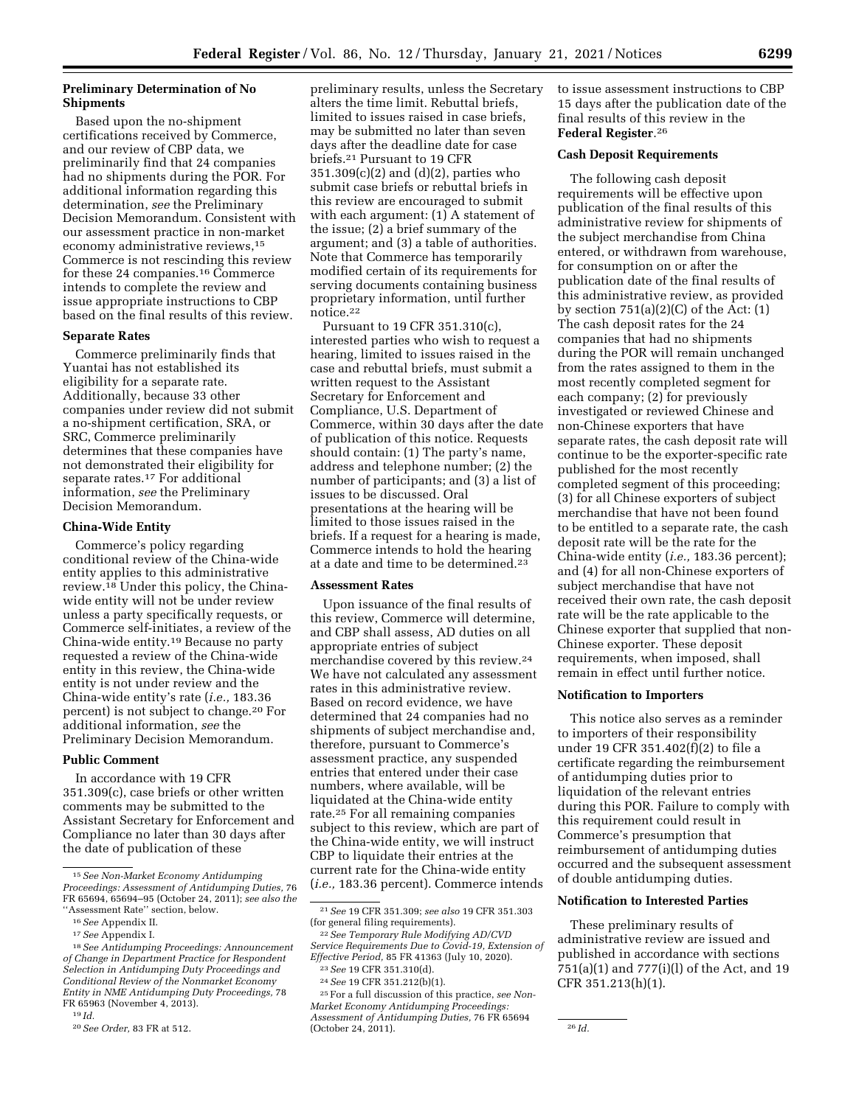## **Preliminary Determination of No Shipments**

Based upon the no-shipment certifications received by Commerce, and our review of CBP data, we preliminarily find that 24 companies had no shipments during the POR. For additional information regarding this determination, *see* the Preliminary Decision Memorandum. Consistent with our assessment practice in non-market economy administrative reviews,15 Commerce is not rescinding this review for these 24 companies.16 Commerce intends to complete the review and issue appropriate instructions to CBP based on the final results of this review.

### **Separate Rates**

Commerce preliminarily finds that Yuantai has not established its eligibility for a separate rate. Additionally, because 33 other companies under review did not submit a no-shipment certification, SRA, or SRC, Commerce preliminarily determines that these companies have not demonstrated their eligibility for separate rates.17 For additional information, *see* the Preliminary Decision Memorandum.

### **China-Wide Entity**

Commerce's policy regarding conditional review of the China-wide entity applies to this administrative review.18 Under this policy, the Chinawide entity will not be under review unless a party specifically requests, or Commerce self-initiates, a review of the China-wide entity.19 Because no party requested a review of the China-wide entity in this review, the China-wide entity is not under review and the China-wide entity's rate (*i.e.,* 183.36 percent) is not subject to change.20 For additional information, *see* the Preliminary Decision Memorandum.

#### **Public Comment**

In accordance with 19 CFR 351.309(c), case briefs or other written comments may be submitted to the Assistant Secretary for Enforcement and Compliance no later than 30 days after the date of publication of these

19 *Id.* 

preliminary results, unless the Secretary alters the time limit. Rebuttal briefs, limited to issues raised in case briefs, may be submitted no later than seven days after the deadline date for case briefs.21 Pursuant to 19 CFR 351.309(c)(2) and (d)(2), parties who submit case briefs or rebuttal briefs in this review are encouraged to submit with each argument: (1) A statement of the issue; (2) a brief summary of the argument; and (3) a table of authorities. Note that Commerce has temporarily modified certain of its requirements for serving documents containing business proprietary information, until further notice.22

Pursuant to 19 CFR 351.310(c), interested parties who wish to request a hearing, limited to issues raised in the case and rebuttal briefs, must submit a written request to the Assistant Secretary for Enforcement and Compliance, U.S. Department of Commerce, within 30 days after the date of publication of this notice. Requests should contain: (1) The party's name, address and telephone number; (2) the number of participants; and (3) a list of issues to be discussed. Oral presentations at the hearing will be limited to those issues raised in the briefs. If a request for a hearing is made, Commerce intends to hold the hearing at a date and time to be determined.23

#### **Assessment Rates**

Upon issuance of the final results of this review, Commerce will determine, and CBP shall assess, AD duties on all appropriate entries of subject merchandise covered by this review.24 We have not calculated any assessment rates in this administrative review. Based on record evidence, we have determined that 24 companies had no shipments of subject merchandise and, therefore, pursuant to Commerce's assessment practice, any suspended entries that entered under their case numbers, where available, will be liquidated at the China-wide entity rate.25 For all remaining companies subject to this review, which are part of the China-wide entity, we will instruct CBP to liquidate their entries at the current rate for the China-wide entity (*i.e.,* 183.36 percent). Commerce intends to issue assessment instructions to CBP 15 days after the publication date of the final results of this review in the **Federal Register**.26

#### **Cash Deposit Requirements**

The following cash deposit requirements will be effective upon publication of the final results of this administrative review for shipments of the subject merchandise from China entered, or withdrawn from warehouse, for consumption on or after the publication date of the final results of this administrative review, as provided by section  $751(a)(2)(C)$  of the Act:  $(1)$ The cash deposit rates for the 24 companies that had no shipments during the POR will remain unchanged from the rates assigned to them in the most recently completed segment for each company; (2) for previously investigated or reviewed Chinese and non-Chinese exporters that have separate rates, the cash deposit rate will continue to be the exporter-specific rate published for the most recently completed segment of this proceeding; (3) for all Chinese exporters of subject merchandise that have not been found to be entitled to a separate rate, the cash deposit rate will be the rate for the China-wide entity (*i.e.,* 183.36 percent); and (4) for all non-Chinese exporters of subject merchandise that have not received their own rate, the cash deposit rate will be the rate applicable to the Chinese exporter that supplied that non-Chinese exporter. These deposit requirements, when imposed, shall remain in effect until further notice.

#### **Notification to Importers**

This notice also serves as a reminder to importers of their responsibility under 19 CFR 351.402(f)(2) to file a certificate regarding the reimbursement of antidumping duties prior to liquidation of the relevant entries during this POR. Failure to comply with this requirement could result in Commerce's presumption that reimbursement of antidumping duties occurred and the subsequent assessment of double antidumping duties.

#### **Notification to Interested Parties**

These preliminary results of administrative review are issued and published in accordance with sections 751(a)(1) and 777(i)(l) of the Act, and 19 CFR 351.213(h)(1).

<sup>15</sup>*See Non-Market Economy Antidumping Proceedings: Assessment of Antidumping Duties,* 76 FR 65694, 65694–95 (October 24, 2011); *see also the*  ''Assessment Rate'' section, below.

<sup>16</sup>*See* Appendix II.

<sup>17</sup>*See* Appendix I.

<sup>18</sup>*See Antidumping Proceedings: Announcement of Change in Department Practice for Respondent Selection in Antidumping Duty Proceedings and Conditional Review of the Nonmarket Economy Entity in NME Antidumping Duty Proceedings,* 78 FR 65963 (November 4, 2013).

<sup>20</sup>*See Order,* 83 FR at 512.

<sup>21</sup>*See* 19 CFR 351.309; *see also* 19 CFR 351.303 (for general filing requirements).

<sup>22</sup>*See Temporary Rule Modifying AD/CVD Service Requirements Due to Covid-19, Extension of Effective Period,* 85 FR 41363 (July 10, 2020).

<sup>23</sup>*See* 19 CFR 351.310(d). 24*See* 19 CFR 351.212(b)(1).

<sup>25</sup>For a full discussion of this practice, *see Non-Market Economy Antidumping Proceedings: Assessment of Antidumping Duties,* 76 FR 65694 (October 24, 2011). 26 *Id.*